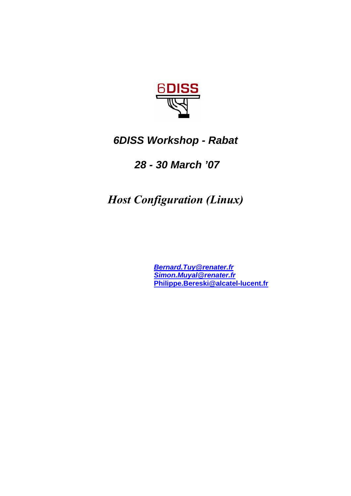

# *6DISS Workshop - Rabat*

# *28 - 30 March '07*

*Host Configuration (Linux)*

*Bernard.Tuy@renater.fr Simon.Muyal@renater.fr*  **Philippe.Bereski@alcatel-lucent.fr**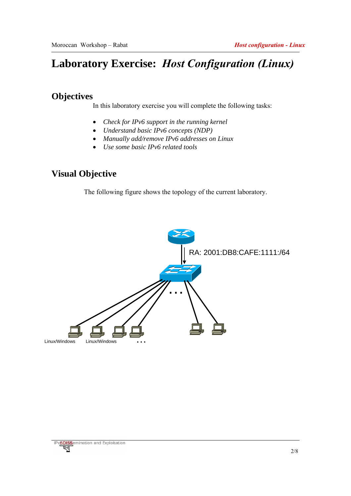# **Laboratory Exercise:** *Host Configuration (Linux)*

## **Objectives**

In this laboratory exercise you will complete the following tasks:

- *Check for IPv6 support in the running kernel*
- *Understand basic IPv6 concepts (NDP)*
- *Manually add/remove IPv6 addresses on Linux*
- *Use some basic IPv6 related tools*

## **Visual Objective**

The following figure shows the topology of the current laboratory.

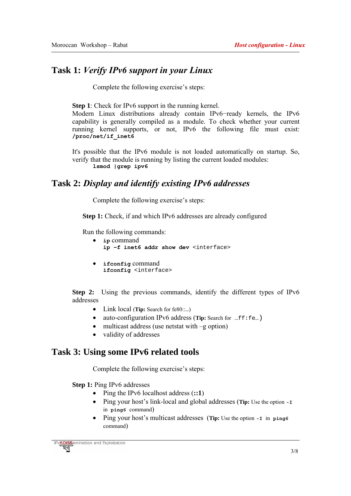### **Task 1:** *Verify IPv6 support in your Linux*

Complete the following exercise's steps:

**Step 1**: Check for IPv6 support in the running kernel.

Modern Linux distributions already contain IPv6−ready kernels, the IPv6 capability is generally compiled as a module. To check whether your current running kernel supports, or not, IPv6 the following file must exist: **/proc/net/if\_inet6** 

It's possible that the IPv6 module is not loaded automatically on startup. So, verify that the module is running by listing the current loaded modules: **lsmod |grep ipv6**

#### **Task 2:** *Display and identify existing IPv6 addresses*

Complete the following exercise's steps:

**Step 1:** Check, if and which IPv6 addresses are already configured

Run the following commands:

- **ip** command **ip −f inet6 addr show dev** <interface>
- **ifconfig** command **ifconfig** <interface>

**Step 2:** Using the previous commands, identify the different types of IPv6 addresses

- Link local (**Tip:** Search for fe80::…)
- auto-configuration IPv6 address (Tip: Search for ...ff:fe...)
- multicast address (use netstat with  $-g$  option)
- validity of addresses

#### **Task 3: Using some IPv6 related tools**

Complete the following exercise's steps:

**Step 1:** Ping IPv6 addresses

- Ping the IPv6 localhost address (**::1**)
- Ping your host's link-local and global addresses (**Tip:** Use the option **-I**  in **ping6** command)
- Ping your host's multicast addresses (**Tip:** Use the option **-I** in **ping6**  command)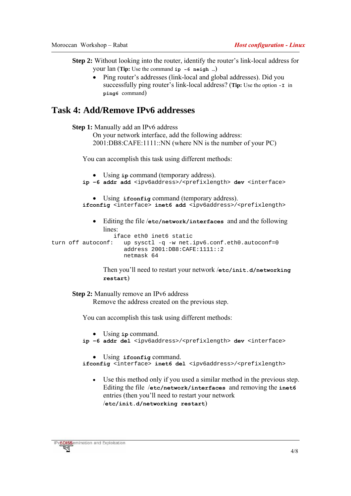**Step 2:** Without looking into the router, identify the router's link-local address for your lan (**Tip:** Use the command **ip −6 neigh …**)

• Ping router's addresses (link-local and global addresses). Did you successfully ping router's link-local address? (**Tip:** Use the option **-I** in **ping6** command)

### **Task 4: Add/Remove IPv6 addresses**

**Step 1:** Manually add an IPv6 address

```
On your network interface, add the following address: 
2001:DB8:CAFE:1111::NN (where NN is the number of your PC)
```
You can accomplish this task using different methods:

```
• Using ip command (temporary address). 
         ip −6 addr add <ipv6address>/<prefixlength> dev <interface>
            • Using ifconfig command (temporary address). 
         ifconfig <interface> inet6 add <ipv6address>/<prefixlength>
            • Editing the file /etc/network/interfaces and and the following 
                lines: 
                   iface eth0 inet6 static 
turn off autoconf: up sysctl -q -w net.ipv6.conf.eth0.autoconf=0
                      address 2001:DB8:CAFE:1111::2 
                      netmask 64
```
Then you'll need to restart your network /**etc/init.d/networking restart**)

**Step 2:** Manually remove an IPv6 address

Remove the address created on the previous step.

You can accomplish this task using different methods:

```
• Using ip command.
```

```
ip −6 addr del <ipv6address>/<prefixlength> dev <interface>
```

```
• Using ifconfig command.
```
- ifconfig <interface> inet6 del <ipv6address>/<prefixlength>
	- Use this method only if you used a similar method in the previous step. Editing the file /**etc/network/interfaces** and removing the **inet6**  entries (then you'll need to restart your network /**etc/init.d/networking restart**)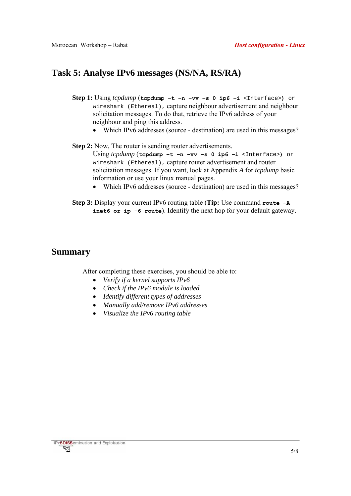## **Task 5: Analyse IPv6 messages (NS/NA, RS/RA)**

- **Step 1:** Using *tcpdump* (**tcpdump −t −n −vv –s 0 ip6 −i** <Interface>**)** or wireshark (Ethereal), capture neighbour advertisement and neighbour solicitation messages. To do that, retrieve the IPv6 address of your neighbour and ping this address.
	- Which IPv6 addresses (source destination) are used in this messages?

**Step 2:** Now, The router is sending router advertisements. Using *tcpdump* (**tcpdump −t −n −vv –s 0 ip6 −i** <Interface>**)** or wireshark (Ethereal), capture router advertisement and router solicitation messages. If you want, look at Appendix *A* for *tcpdump* basic information or use your linux manual pages.

- Which IPv6 addresses (source destination) are used in this messages?
- **Step 3:** Display your current IPv6 routing table (**Tip:** Use command **route −A inet6 or ip -6 route**). Identify the next hop for your default gateway.

#### **Summary**

After completing these exercises, you should be able to:

- *Verify if a kernel supports IPv6*
- *Check if the IPv6 module is loaded*
- *Identify different types of addresses*
- *Manually add/remove IPv6 addresses*
- *Visualize the IPv6 routing table*

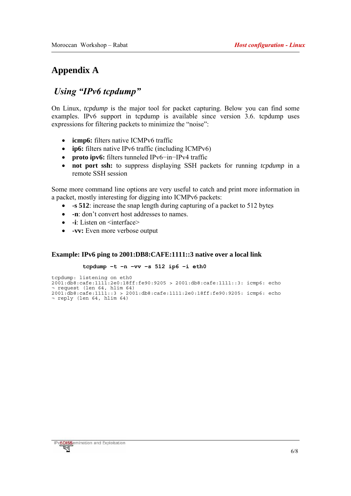## **Appendix A**

## *Using "IPv6 tcpdump"*

On Linux, *tcpdump* is the major tool for packet capturing. Below you can find some examples. IPv6 support in tcpdump is available since version 3.6. tcpdump uses expressions for filtering packets to minimize the "noise":

- **icmp6:** filters native ICMPv6 traffic
- **ip6:** filters native IPv6 traffic (including ICMPv6)
- **proto ipv6:** filters tunneled IPv6−in−IPv4 traffic
- **not port ssh:** to suppress displaying SSH packets for running *tcpdump* in a remote SSH session

Some more command line options are very useful to catch and print more information in a packet, mostly interesting for digging into ICMPv6 packets:

- **-s 512**: increase the snap length during capturing of a packet to 512 bytes
- **-n**: don't convert host addresses to names.
- **-i**: Listen on <interface>
- **-vv:** Even more verbose output

#### **Example: IPv6 ping to 2001:DB8:CAFE:1111::3 native over a local link**

#### **tcpdump −t −n −vv –s 512 ip6 −i eth0**

```
tcpdump: listening on eth0 
2001:db8:cafe:1111:2e0:18ff:fe90:9205 > 2001:db8:cafe:1111::3: icmp6: echo 
¬ request (len 64, hlim 64) 
2001:db8:cafe:1111::3 > 2001:db8:cafe:1111:2e0:18ff:fe90:9205: icmp6: echo 
¬ reply (len 64, hlim 64)
```
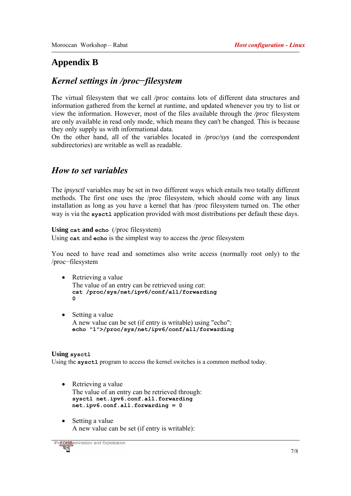## **Appendix B**

## *Kernel settings in /proc−filesystem*

The virtual filesystem that we call */proc* contains lots of different data structures and information gathered from the kernel at runtime, and updated whenever you try to list or view the information. However, most of the files available through the */proc* filesystem are only available in read only mode, which means they can't be changed. This is because they only supply us with informational data.

On the other hand, all of the variables located in */proc/sys* (and the correspondent subdirectories) are writable as well as readable.

## *How to set variables*

The *ipsysctl* variables may be set in two different ways which entails two totally different methods. The first one uses the /proc filesystem, which should come with any linux installation as long as you have a kernel that has /proc filesystem turned on. The other way is via the **sysctl** application provided with most distributions per default these days.

#### **Using cat and echo** (/proc filesystem)

Using **cat** and **echo** is the simplest way to access the */proc* filesystem

You need to have read and sometimes also write access (normally root only) to the /proc−filesystem

#### • Retrieving a value

The value of an entry can be retrieved using *cat*: **cat /proc/sys/net/ipv6/conf/all/forwarding 0**

• Setting a value A new value can be set (if entry is writable) using "echo": **echo "1">/proc/sys/net/ipv6/conf/all/forwarding** 

#### **Using sysctl**

Using the **sysctl** program to access the kernel switches is a common method today.

- Retrieving a value The value of an entry can be retrieved through: **sysctl net.ipv6.conf.all.forwarding net.ipv6.conf.all.forwarding = 0**
- Setting a value A new value can be set (if entry is writable):